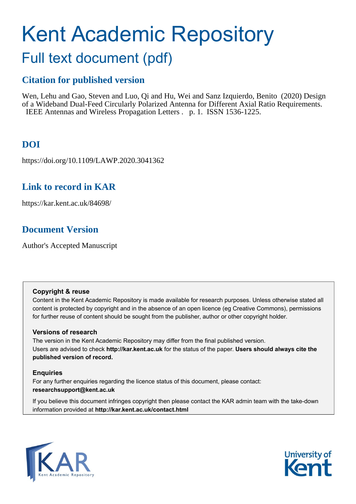# Kent Academic Repository

# Full text document (pdf)

# **Citation for published version**

Wen, Lehu and Gao, Steven and Luo, Qi and Hu, Wei and Sanz Izquierdo, Benito (2020) Design of a Wideband Dual-Feed Circularly Polarized Antenna for Different Axial Ratio Requirements. IEEE Antennas and Wireless Propagation Letters . p. 1. ISSN 1536-1225.

# **DOI**

https://doi.org/10.1109/LAWP.2020.3041362

## **Link to record in KAR**

https://kar.kent.ac.uk/84698/

# **Document Version**

Author's Accepted Manuscript

## **Copyright & reuse**

Content in the Kent Academic Repository is made available for research purposes. Unless otherwise stated all content is protected by copyright and in the absence of an open licence (eg Creative Commons), permissions for further reuse of content should be sought from the publisher, author or other copyright holder.

## **Versions of research**

The version in the Kent Academic Repository may differ from the final published version. Users are advised to check **http://kar.kent.ac.uk** for the status of the paper. **Users should always cite the published version of record.**

## **Enquiries**

For any further enquiries regarding the licence status of this document, please contact: **researchsupport@kent.ac.uk**

If you believe this document infringes copyright then please contact the KAR admin team with the take-down information provided at **http://kar.kent.ac.uk/contact.html**



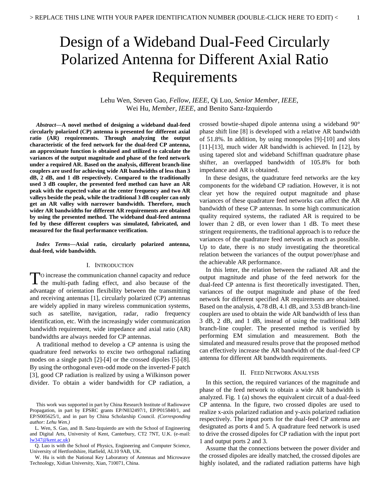# Design of a Wideband Dual-Feed Circularly Polarized Antenna for Different Axial Ratio Requirements

Lehu Wen, Steven Gao, *Fellow, IEEE*, Qi Luo, *Senior Member, IEEE,* Wei Hu, *Member, IEEE*, and Benito Sanz-Izquierdo

*Abstract***—A novel method of designing a wideband dual-feed circularly polarized (CP) antenna is presented for different axial ratio (AR) requirements. Through analyzing the output characteristic of the feed network for the dual-feed CP antenna, an approximate function is obtained and utilized to calculate the variances of the output magnitude and phase of the feed network under a required AR. Based on the analysis, different branch-line couplers are used for achieving wide AR bandwidths of less than 3 dB, 2 dB, and 1 dB respectively. Compared to the traditionally used 3 dB coupler, the presented feed method can have an AR peak with the expected value at the center frequency and two AR valleys beside the peak, while the traditional 3 dB coupler can only get an AR valley with narrower bandwidth. Therefore, much wider AR bandwidths for different AR requirements are obtained by using the presented method. The wideband dual-feed antenna fed by these different couplers was simulated, fabricated, and measured for the final performance verification.** 

*Index Terms***—Axial ratio, circularly polarized antenna, dual-feed, wide bandwidth.**

#### I. INTRODUCTION

O increase the communication channel capacity and reduce To increase the communication channel capacity and reduce<br>the multi-path fading effect, and also because of the advantage of orientation flexibility between the transmitting and receiving antennas [1], circularly polarized (CP) antennas are widely applied in many wireless communication systems, such as satellite, navigation, radar, radio frequency identification, etc. With the increasingly wider communication bandwidth requirement, wide impedance and axial ratio (AR) bandwidths are always needed for CP antennas.

A traditional method to develop a CP antenna is using the quadrature feed networks to excite two orthogonal radiating modes on a single patch [2]-[4] or the crossed dipoles [5]-[8]. By using the orthogonal even-odd mode on the inverted-F patch [3], good CP radiation is realized by using a Wilkinson power divider. To obtain a wider bandwidth for CP radiation, a crossed bowtie-shaped dipole antenna using a wideband 90° phase shift line [8] is developed with a relative AR bandwidth of 51.8%. In addition, by using monopoles [9]-[10] and slots [11]-[13], much wider AR bandwidth is achieved. In [12], by using tapered slot and wideband Schiffman quadrature phase shifter, an overlapped bandwidth of 105.8% for both impedance and AR is obtained.

In these designs, the quadrature feed networks are the key components for the wideband CP radiation. However, it is not clear yet how the required output magnitude and phase variances of these quadrature feed networks can affect the AR bandwidth of these CP antennas. In some high communication quality required systems, the radiated AR is required to be lower than 2 dB, or even lower than 1 dB. To meet these stringent requirements, the traditional approach is to reduce the variances of the quadrature feed network as much as possible. Up to date, there is no study investigating the theoretical relation between the variances of the output power/phase and the achievable AR performance.

In this letter, the relation between the radiated AR and the output magnitude and phase of the feed network for the dual-feed CP antenna is first theoretically investigated. Then, variances of the output magnitude and phase of the feed network for different specified AR requirements are obtained. Based on the analysis, 4.78 dB, 4.1 dB, and 3.53 dB branch-line couplers are used to obtain the wide AR bandwidth of less than 3 dB, 2 dB, and 1 dB, instead of using the traditional 3dB branch-line coupler. The presented method is verified by performing EM simulation and measurement. Both the simulated and measured results prove that the proposed method can effectively increase the AR bandwidth of the dual-feed CP antenna for different AR bandwidth requirements.

#### II. FEED NETWORK ANALYSIS

In this section, the required variances of the magnitude and phase of the feed network to obtain a wide AR bandwidth is analyzed. Fig. 1 (a) shows the equivalent circuit of a dual-feed CP antenna. In the figure, two crossed dipoles are used to realize x-axis polarized radiation and y-axis polarized radiation respectively. The input ports for the dual-feed CP antenna are designated as ports 4 and 5. A quadrature feed network is used to drive the crossed dipoles for CP radiation with the input port 1 and output ports 2 and 3.

Assume that the connections between the power divider and the crossed dipoles are ideally matched, the crossed dipoles are highly isolated, and the radiated radiation patterns have high

This work was supported in part by China Research Institute of Radiowave Propagation, in part by EPSRC grants EP/N032497/1, EP/P015840/1, and EP/S005625/1, and in part by China Scholarship Council. *(Corresponding author: Lehu Wen.)*

L. Wen, S. Gao, and B. Sanz-Izquierdo are with the School of Engineering and Digital Arts, University of Kent, Canterbury, CT2 7NT, U.K. (e-mail: [lw347@kent.ac.uk\)](mailto:lw347@kent.ac.uk)

Q. Luo is with the School of Physics, Engineering and Computer Science, University of Hertfordshire, Hatfield, AL10 9AB, UK.

W. Hu is with the National Key Laboratory of Antennas and Microwave Technology, Xidian University, Xian, 710071, China.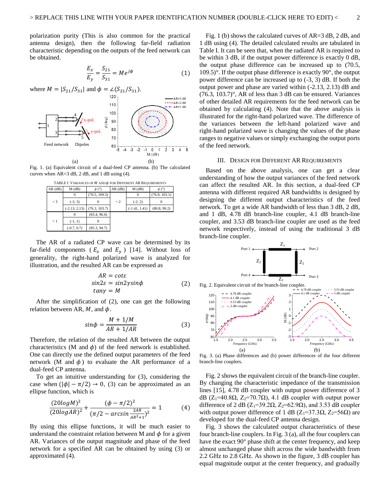polarization purity (This is also common for the practical antenna design), then the following far-field radiation characteristic depending on the outputs of the feed network can be obtained.

$$
\frac{E_x}{E_y} = \frac{S_{21}}{S_{31}} = Me^{j\phi} \tag{1}
$$



Fig. 1. (a) Equivalent circuit of a dual-feed CP antenna. (b) The calculated curves when AR=3 dB, 2 dB, and 1 dB using (4).

| TABLE I. VARIANCES OF $M$ AND $\phi$ for DIFFERENT AR REQUIREMENTS |                 |               |               |                 |               |
|--------------------------------------------------------------------|-----------------|---------------|---------------|-----------------|---------------|
| $AR$ (dB)                                                          | $M$ (dB)        |               | $AR$ ( $dB$ ) | $M$ (dB)        |               |
| $\lt$ 3                                                            |                 | (70.5, 109.5) |               |                 | (76.9, 103.1) |
|                                                                    | $(-3, 3)$       |               | $\lt 2$       | $(-2, 2)$       |               |
|                                                                    | $(-2.13, 2.13)$ | (76.3, 103.7) |               | $(-1.41, 1.41)$ | (80.8, 99.2)  |
| $\leq 1$                                                           | 0               | (83.4, 96.6)  |               |                 |               |
|                                                                    | $(-1, 1)$       | $^{(1)}$      |               |                 |               |
|                                                                    | $(-0.7, 0.7)$   | (85.3, 94.7)  |               |                 |               |

The AR of a radiated CP wave can be determined by its far-field components ( $E_x$  and  $E_y$ ) [14]. Without loss of generality, the right-hand polarized wave is analyzed for illustration, and the resulted AR can be expressed as

$$
AR = \cot \varepsilon
$$
  
\n
$$
\sin 2\varepsilon = \sin 2\gamma \sin \phi
$$
 (2)  
\n
$$
\tan \gamma = M
$$

After the simplification of (2), one can get the following relation between AR,  $M$ , and  $\phi$ .

$$
sin\phi = \frac{M + 1/M}{AR + 1/AR}
$$
 (3)

Therefore, the relation of the resulted AR between the output characteristics (M and  $\phi$ ) of the feed network is established. One can directly use the defined output parameters of the feed network (M and  $\phi$ ) to evaluate the AR performance of a dual-feed CP antenna.

To get an intuitive understanding for (3), considering the case when  $(|\phi| - \pi/2) \rightarrow 0$ , (3) can be approximated as an ellipse function, which is

$$
\frac{(20\log M)^2}{(20\log AR)^2} + \frac{(\phi - \pi/2)^2}{(\pi/2 - \arcsin \frac{2AR}{AR^2 + 1})^2} = 1
$$
 (4)

By using this ellipse functions, it will be much easier to understand the constraint relation between M and  $\phi$  for a given AR. Variances of the output magnitude and phase of the feed network for a specified AR can be obtained by using (3) or approximated (4).

Fig. 1 (b) shows the calculated curves of AR=3 dB, 2 dB, and 1 dB using (4). The detailed calculated results are tabulated in Table I. It can be seen that, when the radiated AR is required to be within 3 dB, if the output power difference is exactly 0 dB, the output phase difference can be increased up to (70.5,  $109.5$ <sup>o</sup>. If the output phase difference is exactly  $90^\circ$ , the output power difference can be increased up to (-3, 3) dB. If both the output power and phase are varied within (-2.13, 2.13) dB and (76.3, 103.7)°, AR of less than 3 dB can be ensured. Variances of other detailed AR requirements for the feed network can be obtained by calculating (4). Note that the above analysis is illustrated for the right-hand polarized wave. The difference of the variances between the left-hand polarized wave and right-hand polarized wave is changing the values of the phase ranges to negative values or simply exchanging the output ports of the feed network.

#### III. DESIGN FOR DIFFERENT AR REQUIREMENTS

Based on the above analysis, one can get a clear understanding of how the output variances of the feed network can affect the resulted AR. In this section, a dual-feed CP antenna with different required AR bandwidths is designed by designing the different output characteristics of the feed network. To get a wide AR bandwidth of less than 3 dB, 2 dB, and 1 dB, 4.78 dB branch-line coupler, 4.1 dB branch-line coupler, and 3.53 dB branch-line coupler are used as the feed network respectively, instead of using the traditional 3 dB branch-line coupler.





Fig. 3. (a) Phase differences and (b) power differences of the four different branch-line couplers.

Fig. 2 shows the equivalent circuit of the branch-line coupler. By changing the characteristic impedance of the transmission lines [15], 4.78 dB coupler with output power difference of 3 dB (Z<sub>1</sub>=40.8Ω, Z<sub>2</sub>=70.7Ω), 4.1 dB coupler with output power difference of 2 dB ( $Z_1$ =39.2 $\Omega$ ,  $Z_2$ =62.9 $\Omega$ ), and 3.53 dB coupler with output power difference of 1 dB ( $Z_1=37.3\Omega$ ,  $Z_2=56\Omega$ ) are developed for the dual-feed CP antenna design.

Fig. 3 shows the calculated output characteristics of these four branch-line couplers. In Fig. 3 (a), all the four couplers can have the exact 90° phase shift at the center frequency, and keep almost unchanged phase shift across the wide bandwidth from 2.2 GHz to 2.8 GHz. As shown in the figure, 3 dB coupler has equal magnitude output at the center frequency, and gradually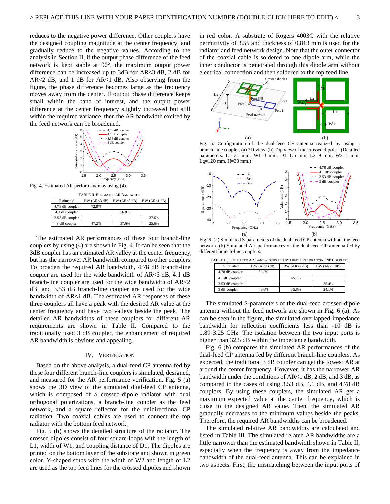difference can be increased up to 3dB for AR<3 dB, 2 dB for AR<2 dB, and 1 dB for AR<1 dB. Also observing from the figure, the phase difference becomes large as the frequency moves away from the center. If output phase difference keeps small within the band of interest, and the output power difference at the center frequency slightly increased but still within the required variance, then the AR bandwidth excited by the feed network can be broadened.



Fig. 4. Estimated AR performance by using (4).

| TABLE II. ESTIMATED AR BANDWIDTH |                |             |                |  |
|----------------------------------|----------------|-------------|----------------|--|
| Estimated                        | BW (AR < 3 dB) | BW(AR<2 dB) | BW (AR < 1 dB) |  |
| 4.78 dB coupler                  | 72.8%          |             |                |  |
| 4.1 dB coupler                   |                | 56.0%       |                |  |
| 3.53 dB coupler                  |                |             | 37.6%          |  |
| 3 dB coupler                     | 47.2%          | 37.6%       | 25.6%          |  |

The estimated AR performances of these four branch-line couplers by using (4) are shown in Fig. 4. It can be seen that the 3dB coupler has an estimated AR valley at the center frequency, but has the narrower AR bandwidth compared to other couplers. To broaden the required AR bandwidth, 4.78 dB branch-line coupler are used for the wide bandwidth of AR<3 dB, 4.1 dB branch-line coupler are used for the wide bandwidth of AR<2 dB, and 3.53 dB branch-line coupler are used for the wide bandwidth of AR<1 dB. The estimated AR responses of these three couplers all have a peak with the desired AR value at the center frequency and have two valleys beside the peak. The detailed AR bandwidths of these couplers for different AR requirements are shown in Table II. Compared to the traditionally used 3 dB coupler, the enhancement of required AR bandwidth is obvious and appealing.

#### IV. VERIFICATION

Based on the above analysis, a dual-feed CP antenna fed by these four different branch-line couplers is simulated, designed, and measured for the AR performance verification. Fig. 5 (a) shows the 3D view of the simulated dual-feed CP antenna, which is composed of a crossed-dipole radiator with dual orthogonal polarizations, a branch-line coupler as the feed network, and a square reflector for the unidirectional CP radiation. Two coaxial cables are used to connect the top radiator with the bottom feed network.

Fig. 5 (b) shows the detailed structure of the radiator. The crossed dipoles consist of four square-loops with the length of L1, width of W1, and coupling distance of D1. The dipoles are printed on the bottom layer of the substrate and shown in green color. Y-shaped stubs with the width of W2 and length of L2 are used as the top feed lines for the crossed dipoles and shown

in red color. A substrate of Rogers 4003C with the relative permittivity of 3.55 and thickness of 0.813 mm is used for the radiator and feed network design. Note that the outer connector of the coaxial cable is soldered to one dipole arm, while the inner conductor is penetrated through this dipole arm without electrical connection and then soldered to the top feed line.



Fig. 5. Configuration of the dual-feed CP antenna realized by using a branch-line coupler. (a) 3D view. (b) Top view of the crossed dipoles. (Detailed parameters. L1=31 mm, W1=3 mm, D1=1.5 mm, L2=9 mm, W2=1 mm. Lg=120 mm, H=30 mm.)



Fig. 6. (a) Simulated S-parameters of the dual-feed CP antenna without the feed network. (b) Simulated AR performances of the dual-feed CP antenna fed by different branch-line couplers.

TABLE III. SIMULATED AR BANDWIDTHS FED BY DIFFERENT BRANCH-LINE COUPLERS

| Simulated       | BW (AR < 3 dB) | BW (AR < 2 dB) | BW (AR < 1 dB) |
|-----------------|----------------|----------------|----------------|
| 4.78 dB coupler | 52.2%          |                |                |
| 4.1 dB coupler  |                | 45.1%          |                |
| 3.53 dB coupler |                |                | 35.4%          |
| 3 dB coupler    | 46.6%          | 35.8%          | 24.1%          |

The simulated S-parameters of the dual-feed crossed-dipole antenna without the feed network are shown in Fig. 6 (a). As can be seen in the figure, the simulated overlapped impedance bandwidth for reflection coefficients less than -10 dB is 1.89-3.25 GHz. The isolation between the two input ports is higher than 32.5 dB within the impedance bandwidth.

Fig. 6 (b) compares the simulated AR performances of the dual-feed CP antenna fed by different branch-line couplers. As expected, the traditional 3 dB coupler can get the lowest AR at around the center frequency. However, it has the narrower AR bandwidth under the conditions of AR<1 dB, 2 dB, and 3 dB, as compared to the cases of using 3.53 dB, 4.1 dB, and 4.78 dB couplers. By using these couplers, the simulated AR get a maximum expected value at the center frequency, which is close to the designed AR value. Then, the simulated AR gradually decreases to the minimum values beside the peaks. Therefore, the required AR bandwidths can be broadened.

The simulated relative AR bandwidths are calculated and listed in Table III. The simulated related AR bandwidths are a little narrower than the estimated bandwidth shown in Table II, especially when the frequency is away from the impedance bandwidth of the dual-feed antenna. This can be explained in two aspects. First, the mismatching between the input ports of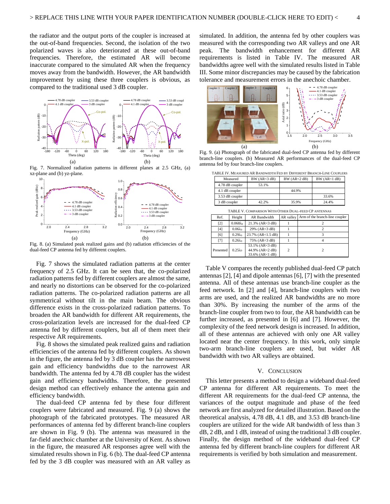the radiator and the output ports of the coupler is increased at the out-of-band frequencies. Second, the isolation of the two polarized waves is also deteriorated at these out-of-band frequencies. Therefore, the estimated AR will become inaccurate compared to the simulated AR when the frequency moves away from the bandwidth. However, the AR bandwidth improvement by using these three couplers is obvious, as compared to the traditional used 3 dB coupler.



Fig. 7. Normalized radiation patterns in different planes at 2.5 GHz, (a) xz-plane and (b) yz-plane.



Fig. 8. (a) Simulated peak realized gains and (b) radiation efficiencies of the dual-feed CP antenna fed by different couplers.

Fig. 7 shows the simulated radiation patterns at the center frequency of 2.5 GHz. It can be seen that, the co-polarized radiation patterns fed by different couplers are almost the same, and nearly no distortions can be observed for the co-polarized radiation patterns. The co-polarized radiation patterns are all symmetrical without tilt in the main beam. The obvious difference exists in the cross-polarized radiation patterns. To broaden the AR bandwidth for different AR requirements, the cross-polarization levels are increased for the dual-feed CP antenna fed by different couplers, but all of them meet their respective AR requirements.

Fig. 8 shows the simulated peak realized gains and radiation efficiencies of the antenna fed by different couplers. As shown in the figure, the antenna fed by 3 dB coupler has the narrowest gain and efficiency bandwidths due to the narrowest AR bandwidth. The antenna fed by 4.78 dB coupler has the widest gain and efficiency bandwidths. Therefore, the presented design method can effectively enhance the antenna gain and efficiency bandwidth.

The dual-feed CP antenna fed by these four different couplers were fabricated and measured. Fig. 9 (a) shows the photograph of the fabricated prototypes. The measured AR performances of antenna fed by different branch-line couplers are shown in Fig. 9 (b). The antenna was measured in the far-field anechoic chamber at the University of Kent. As shown in the figure, the measured AR responses agree well with the simulated results shown in Fig. 6 (b). The dual-feed CP antenna fed by the 3 dB coupler was measured with an AR valley as

simulated. In addition, the antenna fed by other couplers was measured with the corresponding two AR valleys and one AR peak. The bandwidth enhancement for different AR requirements is listed in Table IV. The measured AR bandwidths agree well with the simulated results listed in Table III. Some minor discrepancies may be caused by the fabrication tolerance and measurement errors in the anechoic chamber.



<sup>-180</sup> <sup>-120</sup> <sup>-60</sup> <sup>-60</sup> <sup>120</sup> <sup>180</sup> <sup>-180</sup> <sup>-60</sup> <sup>-180</sup> <sup>-60</sup> <sup>-60</sup> <sup>-61</sup> <sup>-6</sup> <sup>-60</sup> <sup>-60</sup> <sup>-60</sup> <sup>-60</sup> <sup>-60</sup> <sup>-60</sup> <sup>-60</sup> <sup>-60</sup> <sup>-61</sup> <sup>-61</sup> <sup>-61</sup> <sup>-61</sup> <sup>-61</sup> -6<sup>4</sup> <sup>-6</sup> <sup>-6</sup> <sup>-61</sup> -6<sup>4</sup> -6<sup>4</sup> -6<sup>4</sup> -6<sup>4</sup> -6<sup>4</sup> -6<sup>4</sup> -6<sup>4</sup> branch-line couplers. (b) Measured AR performances of the dual-feed CP antenna fed by four branch-line couplers.

| TABLE IV. MEASURED AR BANDWIDTH FED BY DIFFERENT BRANCH-LINE COUPLERS |                                       |       |                |                |  |
|-----------------------------------------------------------------------|---------------------------------------|-------|----------------|----------------|--|
|                                                                       | $BW(AR \triangleleft dB)$<br>Measured |       | BW (AR < 2 dB) | BW (AR < 1 dB) |  |
|                                                                       | 4.78 dB coupler<br>53.1%              |       |                |                |  |
|                                                                       | 4.1 dB coupler                        |       | 44.9%          |                |  |
|                                                                       | 3.53 dB coupler                       |       |                | 33.6%          |  |
|                                                                       | 3 dB coupler                          | 42.2% | 35.9%          | 24.4%          |  |

| TABLE V. COMPARISON WITH OTHER DUAL-FEED CP ANTENNAS |                  |                                                       |                |                                |  |
|------------------------------------------------------|------------------|-------------------------------------------------------|----------------|--------------------------------|--|
| Ref.                                                 | Height           | AR Bandwidth                                          | AR valley      | Arm of the branch-line coupler |  |
| [2]                                                  | $0.068\lambda_0$ | $21.3\%$ (AR<3 dB)                                    |                |                                |  |
| [4]                                                  | $0.06\lambda_0$  | 29% (AR<3 dB)                                         |                |                                |  |
| [6]                                                  | $0.29\lambda_0$  | 23.7% (AR<1.5 dB)                                     |                |                                |  |
| [7]                                                  | $0.26\lambda_0$  | 75% (AR<3 dB)                                         |                |                                |  |
| Presented                                            | $0.25\lambda_0$  | 53.1% (AR<3 dB)<br>44.9% (AR<2 dB)<br>33.6% (AR<1 dB) | $\overline{c}$ |                                |  |

Table V compares the recently published dual-feed CP patch antennas [2], [4] and dipole antennas [6], [7] with the presented antenna. All of these antennas use branch-line coupler as the feed network. In [2] and [4], branch-line couplers with two arms are used, and the realized AR bandwidths are no more than 30%. By increasing the number of the arms of the branch-line coupler from two to four, the AR bandwidth can be further increased, as presented in [6] and [7]. However, the complexity of the feed network design is increased. In addition, all of these antennas are achieved with only one AR valley located near the center frequency. In this work, only simple two-arm branch-line couplers are used, but wider AR bandwidth with two AR valleys are obtained.

#### V. CONCLUSION

This letter presents a method to design a wideband dual-feed CP antenna for different AR requirements. To meet the different AR requirements for the dual-feed CP antenna, the variances of the output magnitude and phase of the feed network are first analyzed for detailed illustration. Based on the theoretical analysis, 4.78 dB, 4.1 dB, and 3.53 dB branch-line couplers are utilized for the wide AR bandwidth of less than 3 dB, 2 dB, and 1 dB, instead of using the traditional 3 dB coupler. Finally, the design method of the wideband dual-feed CP antenna fed by different branch-line couplers for different AR requirements is verified by both simulation and measurement.